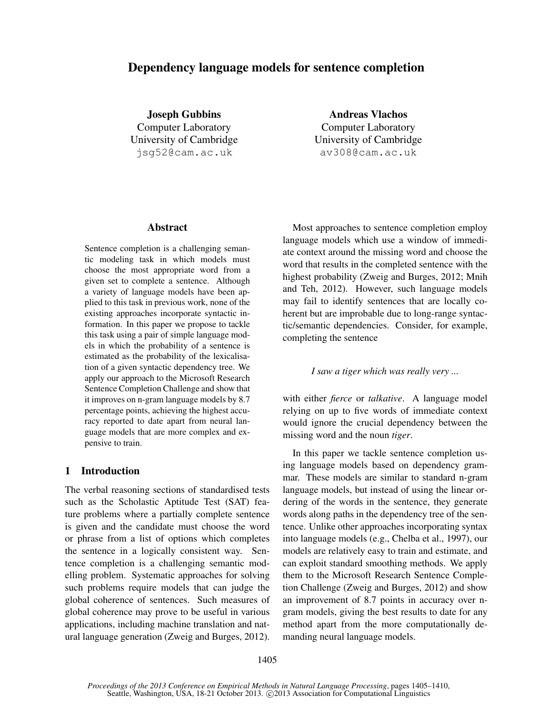# Dependency language models for sentence completion

Joseph Gubbins Computer Laboratory University of Cambridge jsg52@cam.ac.uk

Andreas Vlachos Computer Laboratory University of Cambridge av308@cam.ac.uk

#### Abstract

Sentence completion is a challenging semantic modeling task in which models must choose the most appropriate word from a given set to complete a sentence. Although a variety of language models have been applied to this task in previous work, none of the existing approaches incorporate syntactic information. In this paper we propose to tackle this task using a pair of simple language models in which the probability of a sentence is estimated as the probability of the lexicalisation of a given syntactic dependency tree. We apply our approach to the Microsoft Research Sentence Completion Challenge and show that it improves on n-gram language models by 8.7 percentage points, achieving the highest accuracy reported to date apart from neural language models that are more complex and expensive to train.

### 1 Introduction

The verbal reasoning sections of standardised tests such as the Scholastic Aptitude Test (SAT) feature problems where a partially complete sentence is given and the candidate must choose the word or phrase from a list of options which completes the sentence in a logically consistent way. Sentence completion is a challenging semantic modelling problem. Systematic approaches for solving such problems require models that can judge the global coherence of sentences. Such measures of global coherence may prove to be useful in various applications, including machine translation and natural language generation (Zweig and Burges, 2012).

Most approaches to sentence completion employ language models which use a window of immediate context around the missing word and choose the word that results in the completed sentence with the highest probability (Zweig and Burges, 2012; Mnih and Teh, 2012). However, such language models may fail to identify sentences that are locally coherent but are improbable due to long-range syntactic/semantic dependencies. Consider, for example, completing the sentence

#### *I saw a tiger which was really very ...*

with either *fierce* or *talkative*. A language model relying on up to five words of immediate context would ignore the crucial dependency between the missing word and the noun *tiger*.

In this paper we tackle sentence completion using language models based on dependency grammar. These models are similar to standard n-gram language models, but instead of using the linear ordering of the words in the sentence, they generate words along paths in the dependency tree of the sentence. Unlike other approaches incorporating syntax into language models (e.g., Chelba et al., 1997), our models are relatively easy to train and estimate, and can exploit standard smoothing methods. We apply them to the Microsoft Research Sentence Completion Challenge (Zweig and Burges, 2012) and show an improvement of 8.7 points in accuracy over ngram models, giving the best results to date for any method apart from the more computationally demanding neural language models.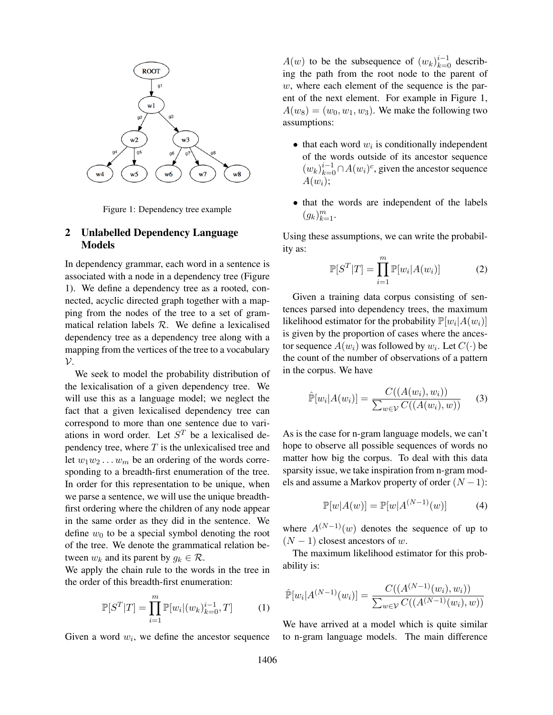

Figure 1: Dependency tree example

## 2 Unlabelled Dependency Language Models

In dependency grammar, each word in a sentence is associated with a node in a dependency tree (Figure 1). We define a dependency tree as a rooted, connected, acyclic directed graph together with a mapping from the nodes of the tree to a set of grammatical relation labels  $R$ . We define a lexicalised dependency tree as a dependency tree along with a mapping from the vertices of the tree to a vocabulary  $\mathcal{V}$ .

We seek to model the probability distribution of the lexicalisation of a given dependency tree. We will use this as a language model; we neglect the fact that a given lexicalised dependency tree can correspond to more than one sentence due to variations in word order. Let  $S<sup>T</sup>$  be a lexicalised dependency tree, where  $T$  is the unlexicalised tree and let  $w_1w_2 \ldots w_m$  be an ordering of the words corresponding to a breadth-first enumeration of the tree. In order for this representation to be unique, when we parse a sentence, we will use the unique breadthfirst ordering where the children of any node appear in the same order as they did in the sentence. We define  $w_0$  to be a special symbol denoting the root of the tree. We denote the grammatical relation between  $w_k$  and its parent by  $q_k \in \mathcal{R}$ .

We apply the chain rule to the words in the tree in the order of this breadth-first enumeration:

$$
\mathbb{P}[S^T|T] = \prod_{i=1}^m \mathbb{P}[w_i|(w_k)_{k=0}^{i-1}, T] \tag{1}
$$

Given a word  $w_i$ , we define the ancestor sequence

 $A(w)$  to be the subsequence of  $(w_k)_{k=0}^{i-1}$  describing the path from the root node to the parent of w, where each element of the sequence is the parent of the next element. For example in Figure 1,  $A(w_8) = (w_0, w_1, w_3)$ . We make the following two assumptions:

- $\bullet$  that each word  $w_i$  is conditionally independent of the words outside of its ancestor sequence  $(w_k)_{k=0}^{i-1} \cap A(w_i)^c$ , given the ancestor sequence  $A(w_i);$
- that the words are independent of the labels  $(g_k)_{k=1}^m$ .

Using these assumptions, we can write the probability as:

$$
\mathbb{P}[S^T|T] = \prod_{i=1}^m \mathbb{P}[w_i|A(w_i)] \tag{2}
$$

Given a training data corpus consisting of sentences parsed into dependency trees, the maximum likelihood estimator for the probability  $\mathbb{P}[w_i|A(w_i)]$ is given by the proportion of cases where the ancestor sequence  $A(w_i)$  was followed by  $w_i.$  Let  $C(\cdot)$  be the count of the number of observations of a pattern in the corpus. We have

$$
\hat{\mathbb{P}}[w_i|A(w_i)] = \frac{C((A(w_i), w_i))}{\sum_{w \in \mathcal{V}} C((A(w_i), w))}
$$
 (3)

As is the case for n-gram language models, we can't hope to observe all possible sequences of words no matter how big the corpus. To deal with this data sparsity issue, we take inspiration from n-gram models and assume a Markov property of order  $(N - 1)$ :

$$
\mathbb{P}[w|A(w)] = \mathbb{P}[w|A^{(N-1)}(w)] \tag{4}
$$

where  $A^{(N-1)}(w)$  denotes the sequence of up to  $(N-1)$  closest ancestors of w.

The maximum likelihood estimator for this probability is:

$$
\hat{\mathbb{P}}[w_i|A^{(N-1)}(w_i)] = \frac{C((A^{(N-1)}(w_i), w_i))}{\sum_{w \in \mathcal{V}} C((A^{(N-1)}(w_i), w))}
$$

We have arrived at a model which is quite similar to n-gram language models. The main difference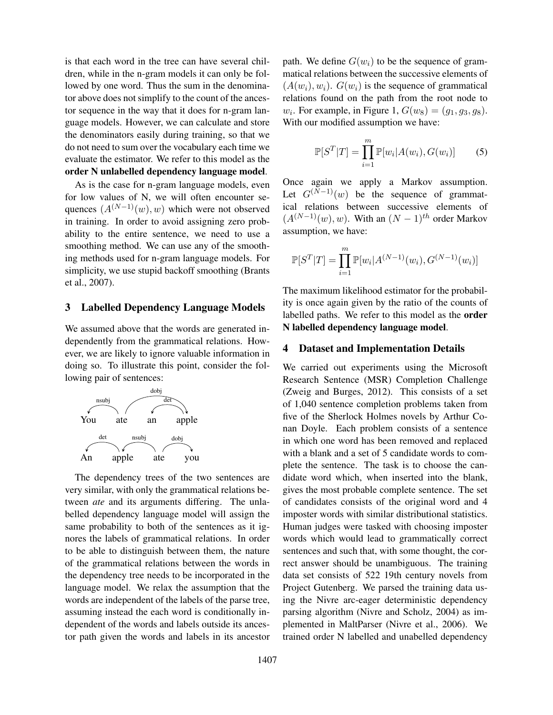is that each word in the tree can have several children, while in the n-gram models it can only be followed by one word. Thus the sum in the denominator above does not simplify to the count of the ancestor sequence in the way that it does for n-gram language models. However, we can calculate and store the denominators easily during training, so that we do not need to sum over the vocabulary each time we evaluate the estimator. We refer to this model as the order N unlabelled dependency language model.

As is the case for n-gram language models, even for low values of N, we will often encounter sequences  $(A^{(N-1)}(w), w)$  which were not observed in training. In order to avoid assigning zero probability to the entire sentence, we need to use a smoothing method. We can use any of the smoothing methods used for n-gram language models. For simplicity, we use stupid backoff smoothing (Brants et al., 2007).

#### 3 Labelled Dependency Language Models

We assumed above that the words are generated independently from the grammatical relations. However, we are likely to ignore valuable information in doing so. To illustrate this point, consider the following pair of sentences:



The dependency trees of the two sentences are very similar, with only the grammatical relations between *ate* and its arguments differing. The unlabelled dependency language model will assign the same probability to both of the sentences as it ignores the labels of grammatical relations. In order to be able to distinguish between them, the nature of the grammatical relations between the words in the dependency tree needs to be incorporated in the language model. We relax the assumption that the words are independent of the labels of the parse tree, assuming instead the each word is conditionally independent of the words and labels outside its ancestor path given the words and labels in its ancestor path. We define  $G(w_i)$  to be the sequence of grammatical relations between the successive elements of  $(A(w_i), w_i)$ .  $G(w_i)$  is the sequence of grammatical relations found on the path from the root node to  $w_i$ . For example, in Figure 1,  $G(w_8) = (g_1, g_3, g_8)$ . With our modified assumption we have:

$$
\mathbb{P}[S^T|T] = \prod_{i=1}^m \mathbb{P}[w_i|A(w_i), G(w_i)] \tag{5}
$$

Once again we apply a Markov assumption. Let  $G^{(N-1)}(w)$  be the sequence of grammatical relations between successive elements of  $(A^{(N-1)}(w), w)$ . With an  $(N-1)$ <sup>th</sup> order Markov assumption, we have:

$$
\mathbb{P}[S^T|T] = \prod_{i=1}^m \mathbb{P}[w_i|A^{(N-1)}(w_i), G^{(N-1)}(w_i)]
$$

The maximum likelihood estimator for the probability is once again given by the ratio of the counts of labelled paths. We refer to this model as the order N labelled dependency language model.

### 4 Dataset and Implementation Details

We carried out experiments using the Microsoft Research Sentence (MSR) Completion Challenge (Zweig and Burges, 2012). This consists of a set of 1,040 sentence completion problems taken from five of the Sherlock Holmes novels by Arthur Conan Doyle. Each problem consists of a sentence in which one word has been removed and replaced with a blank and a set of 5 candidate words to complete the sentence. The task is to choose the candidate word which, when inserted into the blank, gives the most probable complete sentence. The set of candidates consists of the original word and 4 imposter words with similar distributional statistics. Human judges were tasked with choosing imposter words which would lead to grammatically correct sentences and such that, with some thought, the correct answer should be unambiguous. The training data set consists of 522 19th century novels from Project Gutenberg. We parsed the training data using the Nivre arc-eager deterministic dependency parsing algorithm (Nivre and Scholz, 2004) as implemented in MaltParser (Nivre et al., 2006). We trained order N labelled and unabelled dependency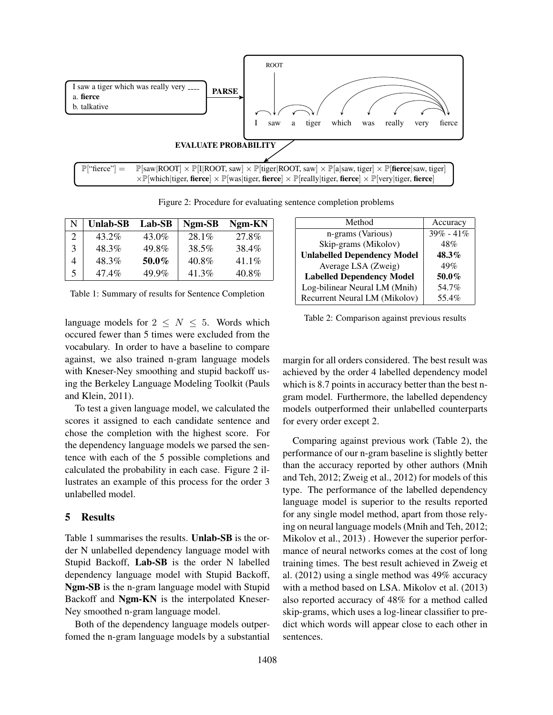

Figure 2: Procedure for evaluating sentence completion problems

|   | <b>Unlab-SB</b> | Lab-SB | Ngm-SB   | Ngm-KN   |
|---|-----------------|--------|----------|----------|
|   | $43.2\%$        | 43.0%  | $28.1\%$ | 27.8%    |
| 3 | 48.3%           | 49.8%  | 38.5%    | 38.4%    |
|   | 48.3%           | 50.0%  | 40.8%    | $41.1\%$ |
| 5 | 47.4%           | 49.9%  | 41.3%    | 40.8%    |

Table 1: Summary of results for Sentence Completion

language models for  $2 \leq N \leq 5$ . Words which occured fewer than 5 times were excluded from the vocabulary. In order to have a baseline to compare against, we also trained n-gram language models with Kneser-Ney smoothing and stupid backoff using the Berkeley Language Modeling Toolkit (Pauls and Klein, 2011).

To test a given language model, we calculated the scores it assigned to each candidate sentence and chose the completion with the highest score. For the dependency language models we parsed the sentence with each of the 5 possible completions and calculated the probability in each case. Figure 2 illustrates an example of this process for the order 3 unlabelled model.

#### 5 Results

Table 1 summarises the results. Unlab-SB is the order N unlabelled dependency language model with Stupid Backoff, Lab-SB is the order N labelled dependency language model with Stupid Backoff, Ngm-SB is the n-gram language model with Stupid Backoff and Ngm-KN is the interpolated Kneser-Ney smoothed n-gram language model.

Both of the dependency language models outperfomed the n-gram language models by a substantial

| Method                             | Accuracy      |
|------------------------------------|---------------|
| n-grams (Various)                  | $39\% - 41\%$ |
| Skip-grams (Mikolov)               | 48%           |
| <b>Unlabelled Dependency Model</b> | $48.3\%$      |
| Average LSA (Zweig)                | 49%           |
| <b>Labelled Dependency Model</b>   | 50.0%         |
| Log-bilinear Neural LM (Mnih)      | 54.7%         |
| Recurrent Neural LM (Mikolov)      | 55.4%         |

Table 2: Comparison against previous results

margin for all orders considered. The best result was achieved by the order 4 labelled dependency model which is 8.7 points in accuracy better than the best ngram model. Furthermore, the labelled dependency models outperformed their unlabelled counterparts for every order except 2.

Comparing against previous work (Table 2), the performance of our n-gram baseline is slightly better than the accuracy reported by other authors (Mnih and Teh, 2012; Zweig et al., 2012) for models of this type. The performance of the labelled dependency language model is superior to the results reported for any single model method, apart from those relying on neural language models (Mnih and Teh, 2012; Mikolov et al., 2013) . However the superior performance of neural networks comes at the cost of long training times. The best result achieved in Zweig et al. (2012) using a single method was 49% accuracy with a method based on LSA. Mikolov et al. (2013) also reported accuracy of 48% for a method called skip-grams, which uses a log-linear classifier to predict which words will appear close to each other in sentences.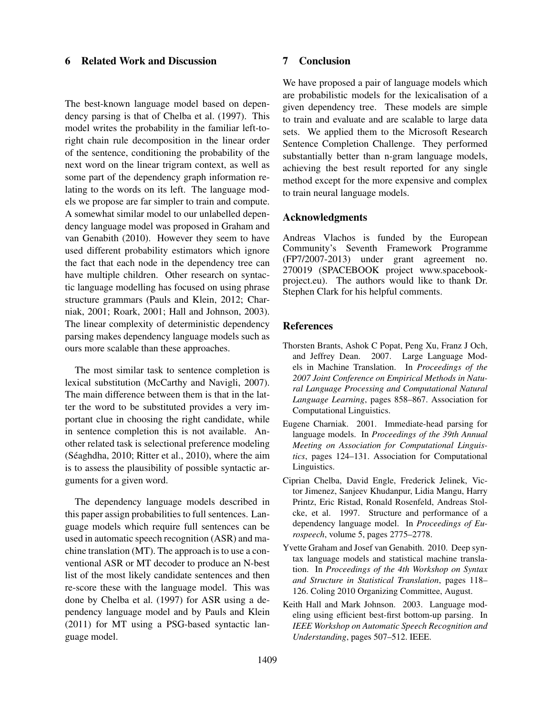### 6 Related Work and Discussion

The best-known language model based on dependency parsing is that of Chelba et al. (1997). This model writes the probability in the familiar left-toright chain rule decomposition in the linear order of the sentence, conditioning the probability of the next word on the linear trigram context, as well as some part of the dependency graph information relating to the words on its left. The language models we propose are far simpler to train and compute. A somewhat similar model to our unlabelled dependency language model was proposed in Graham and van Genabith (2010). However they seem to have used different probability estimators which ignore the fact that each node in the dependency tree can have multiple children. Other research on syntactic language modelling has focused on using phrase structure grammars (Pauls and Klein, 2012; Charniak, 2001; Roark, 2001; Hall and Johnson, 2003). The linear complexity of deterministic dependency parsing makes dependency language models such as ours more scalable than these approaches.

The most similar task to sentence completion is lexical substitution (McCarthy and Navigli, 2007). The main difference between them is that in the latter the word to be substituted provides a very important clue in choosing the right candidate, while in sentence completion this is not available. Another related task is selectional preference modeling (Séaghdha, 2010; Ritter et al., 2010), where the aim is to assess the plausibility of possible syntactic arguments for a given word.

The dependency language models described in this paper assign probabilities to full sentences. Language models which require full sentences can be used in automatic speech recognition (ASR) and machine translation (MT). The approach is to use a conventional ASR or MT decoder to produce an N-best list of the most likely candidate sentences and then re-score these with the language model. This was done by Chelba et al. (1997) for ASR using a dependency language model and by Pauls and Klein (2011) for MT using a PSG-based syntactic language model.

## 7 Conclusion

We have proposed a pair of language models which are probabilistic models for the lexicalisation of a given dependency tree. These models are simple to train and evaluate and are scalable to large data sets. We applied them to the Microsoft Research Sentence Completion Challenge. They performed substantially better than n-gram language models, achieving the best result reported for any single method except for the more expensive and complex to train neural language models.

#### Acknowledgments

Andreas Vlachos is funded by the European Community's Seventh Framework Programme (FP7/2007-2013) under grant agreement no. 270019 (SPACEBOOK project www.spacebookproject.eu). The authors would like to thank Dr. Stephen Clark for his helpful comments.

#### References

- Thorsten Brants, Ashok C Popat, Peng Xu, Franz J Och, and Jeffrey Dean. 2007. Large Language Models in Machine Translation. In *Proceedings of the 2007 Joint Conference on Empirical Methods in Natural Language Processing and Computational Natural Language Learning*, pages 858–867. Association for Computational Linguistics.
- Eugene Charniak. 2001. Immediate-head parsing for language models. In *Proceedings of the 39th Annual Meeting on Association for Computational Linguistics*, pages 124–131. Association for Computational Linguistics.
- Ciprian Chelba, David Engle, Frederick Jelinek, Victor Jimenez, Sanjeev Khudanpur, Lidia Mangu, Harry Printz, Eric Ristad, Ronald Rosenfeld, Andreas Stolcke, et al. 1997. Structure and performance of a dependency language model. In *Proceedings of Eurospeech*, volume 5, pages 2775–2778.
- Yvette Graham and Josef van Genabith. 2010. Deep syntax language models and statistical machine translation. In *Proceedings of the 4th Workshop on Syntax and Structure in Statistical Translation*, pages 118– 126. Coling 2010 Organizing Committee, August.
- Keith Hall and Mark Johnson. 2003. Language modeling using efficient best-first bottom-up parsing. In *IEEE Workshop on Automatic Speech Recognition and Understanding*, pages 507–512. IEEE.